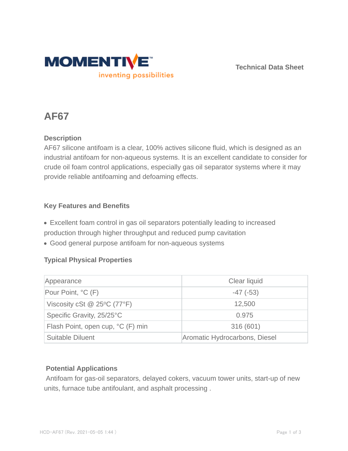

**Technical Data Sheet**

# **AF67**

## **Description**

AF67 silicone antifoam is a clear, 100% actives silicone fluid, which is designed as an industrial antifoam for non-aqueous systems. It is an excellent candidate to consider for crude oil foam control applications, especially gas oil separator systems where it may provide reliable antifoaming and defoaming effects.

### **Key Features and Benefits**

Excellent foam control in gas oil separators potentially leading to increased production through higher throughput and reduced pump cavitation

Good general purpose antifoam for non-aqueous systems

### **Typical Physical Properties**

| Appearance                        | Clear liquid                  |  |
|-----------------------------------|-------------------------------|--|
| Pour Point, °C (F)                | $-47$ ( $-53$ )               |  |
| Viscosity cSt $@$ 25°C (77°F)     | 12,500                        |  |
| Specific Gravity, 25/25°C         | 0.975                         |  |
| Flash Point, open cup, °C (F) min | 316 (601)                     |  |
| <b>Suitable Diluent</b>           | Aromatic Hydrocarbons, Diesel |  |

### **Potential Applications**

Antifoam for gas-oil separators, delayed cokers, vacuum tower units, start-up of new units, furnace tube antifoulant, and asphalt processing .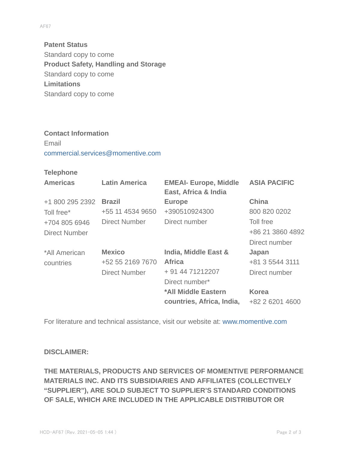**Patent Status** Standard copy to come **Product Safety, Handling and Storage** Standard copy to come **Limitations** Standard copy to come

## **Contact Information** Email commercial.services@momentive.com

#### **Telephone**

| <b>Americas</b>      | <b>Latin America</b> | <b>EMEAI- Europe, Middle</b><br>East, Africa & India | <b>ASIA PACIFIC</b> |
|----------------------|----------------------|------------------------------------------------------|---------------------|
| +1 800 295 2392      | <b>Brazil</b>        | <b>Europe</b>                                        | <b>China</b>        |
| Toll free*           | +55 11 4534 9650     | +390510924300                                        | 800 820 0202        |
| +704 805 6946        | <b>Direct Number</b> | Direct number                                        | Toll free           |
| <b>Direct Number</b> |                      |                                                      | +86 21 3860 4892    |
|                      |                      |                                                      | Direct number       |
| *All American        | <b>Mexico</b>        | India, Middle East &                                 | Japan               |
| countries            | +52 55 2169 7670     | <b>Africa</b>                                        | +81 3 5544 3111     |
|                      | <b>Direct Number</b> | + 91 44 71212207                                     | Direct number       |
|                      |                      | Direct number*                                       |                     |
|                      |                      | *All Middle Eastern                                  | <b>Korea</b>        |
|                      |                      | countries, Africa, India,                            | +82 2 6201 4600     |

For literature and technical assistance, visit our website at: www.momentive.com

#### **DISCLAIMER:**

**THE MATERIALS, PRODUCTS AND SERVICES OF MOMENTIVE PERFORMANCE MATERIALS INC. AND ITS SUBSIDIARIES AND AFFILIATES (COLLECTIVELY "SUPPLIER"), ARE SOLD SUBJECT TO SUPPLIER'S STANDARD CONDITIONS OF SALE, WHICH ARE INCLUDED IN THE APPLICABLE DISTRIBUTOR OR**